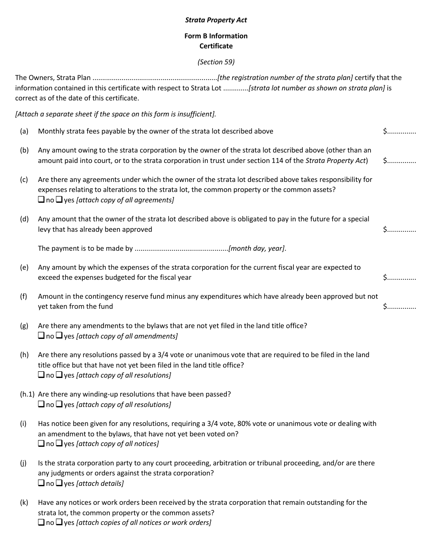### *Strata Property Act*

## **Form B Information Certificate**

### *(Section 59)*

The Owners, Strata Plan ................................................................*[the registration number of the strata plan]* certify that the information contained in this certificate with respect to Strata Lot .............*[strata lot number as shown on strata plan]* is correct as of the date of this certificate.

*[Attach a separate sheet if the space on this form is insufficient].*

| (a) | Monthly strata fees payable by the owner of the strata lot described above                                                                                                                                                                                         | $5$          |
|-----|--------------------------------------------------------------------------------------------------------------------------------------------------------------------------------------------------------------------------------------------------------------------|--------------|
| (b) | Any amount owing to the strata corporation by the owner of the strata lot described above (other than an<br>amount paid into court, or to the strata corporation in trust under section 114 of the Strata Property Act)                                            | $$$          |
| (c) | Are there any agreements under which the owner of the strata lot described above takes responsibility for<br>expenses relating to alterations to the strata lot, the common property or the common assets?<br>$\Box$ no $\Box$ yes [attach copy of all agreements] |              |
| (d) | Any amount that the owner of the strata lot described above is obligated to pay in the future for a special<br>levy that has already been approved                                                                                                                 | $\mathsf{S}$ |
|     |                                                                                                                                                                                                                                                                    |              |
| (e) | Any amount by which the expenses of the strata corporation for the current fiscal year are expected to<br>exceed the expenses budgeted for the fiscal year                                                                                                         | $5$          |
| (f) | Amount in the contingency reserve fund minus any expenditures which have already been approved but not<br>yet taken from the fund                                                                                                                                  | $$$          |
| (g) | Are there any amendments to the bylaws that are not yet filed in the land title office?<br>$\Box$ no $\Box$ yes [attach copy of all amendments]                                                                                                                    |              |
| (h) | Are there any resolutions passed by a 3/4 vote or unanimous vote that are required to be filed in the land<br>title office but that have not yet been filed in the land title office?<br>$\Box$ no $\Box$ yes [attach copy of all resolutions]                     |              |
|     | (h.1) Are there any winding-up resolutions that have been passed?<br>$\Box$ no $\Box$ yes [attach copy of all resolutions]                                                                                                                                         |              |
| (i) | Has notice been given for any resolutions, requiring a 3/4 vote, 80% vote or unanimous vote or dealing with<br>an amendment to the bylaws, that have not yet been voted on?<br>$\Box$ no $\Box$ yes [attach copy of all notices]                                   |              |
| (j) | Is the strata corporation party to any court proceeding, arbitration or tribunal proceeding, and/or are there<br>any judgments or orders against the strata corporation?<br>$\Box$ no $\Box$ yes [attach details]                                                  |              |
| (k) | Have any notices or work orders been received by the strata corporation that remain outstanding for the<br>strata lot, the common property or the common assets?                                                                                                   |              |

no yes *[attach copies of all notices or work orders]*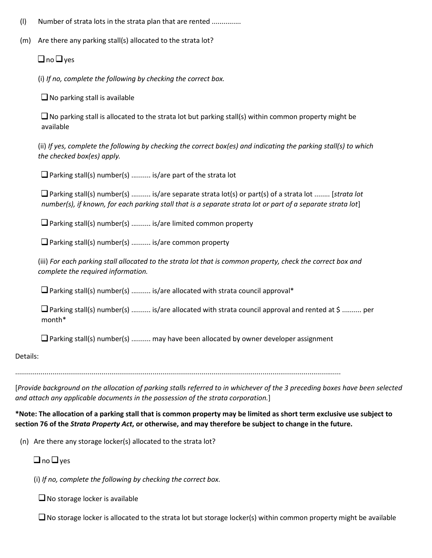- (l) Number of strata lots in the strata plan that are rented ...............
- (m) Are there any parking stall(s) allocated to the strata lot?

 $\Box$  no  $\Box$  yes

(i) *If no, complete the following by checking the correct box.*

 $\Box$  No parking stall is available

 $\square$  No parking stall is allocated to the strata lot but parking stall(s) within common property might be available

(ii) *If yes, complete the following by checking the correct box(es) and indicating the parking stall(s) to which the checked box(es) apply.*

 $\Box$  Parking stall(s) number(s) .......... is/are part of the strata lot

Parking stall(s) number(s) .......... is/are separate strata lot(s) or part(s) of a strata lot ........ [*strata lot number(s), if known, for each parking stall that is a separate strata lot or part of a separate strata lot*]

 $\Box$  Parking stall(s) number(s) .......... is/are limited common property

 $\Box$  Parking stall(s) number(s) .......... is/are common property

(iii) *For each parking stall allocated to the strata lot that is common property, check the correct box and complete the required information.*

 $\Box$  Parking stall(s) number(s) .......... is/are allocated with strata council approval\*

Parking stall(s) number(s) .......... is/are allocated with strata council approval and rented at \$ .......... per month\*

 $\square$  Parking stall(s) number(s) .......... may have been allocated by owner developer assignment

Details:

......................................................................................................................................................................

[*Provide background on the allocation of parking stalls referred to in whichever of the 3 preceding boxes have been selected and attach any applicable documents in the possession of the strata corporation.*]

\*Note: The allocation of a parking stall that is common property may be limited as short term exclusive use subject to section 76 of the Strata Property Act, or otherwise, and may therefore be subject to change in the future.

(n) Are there any storage locker(s) allocated to the strata lot?

# $\Box$  no  $\Box$  yes

(i) *If no, complete the following by checking the correct box.*

 $\Box$  No storage locker is available

 $\Box$  No storage locker is allocated to the strata lot but storage locker(s) within common property might be available